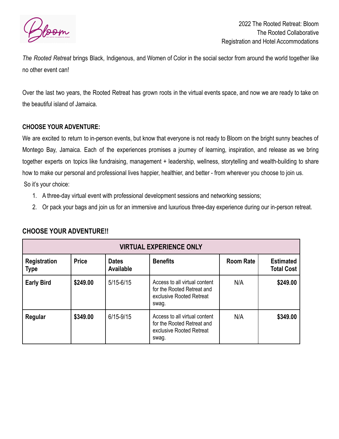

2022 The Rooted Retreat: Bloom The Rooted Collaborative Registration and Hotel Accommodations

*The Rooted Retreat* brings Black, Indigenous, and Women of Color in the social sector from around the world together like no other event can!

Over the last two years, the Rooted Retreat has grown roots in the virtual events space, and now we are ready to take on the beautiful island of Jamaica.

## **CHOOSE YOUR ADVENTURE:**

We are excited to return to in-person events, but know that everyone is not ready to Bloom on the bright sunny beaches of Montego Bay, Jamaica. Each of the experiences promises a journey of learning, inspiration, and release as we bring together experts on topics like fundraising, management + leadership, wellness, storytelling and wealth-building to share how to make our personal and professional lives happier, healthier, and better - from wherever you choose to join us. So it's your choice:

- 1. A three-day virtual event with professional development sessions and networking sessions;
- 2. Or pack your bags and join us for an immersive and luxurious three-day experience during our in-person retreat.

| <b>VIRTUAL EXPERIENCE ONLY</b> |              |                           |                                                                                                  |                  |                                       |
|--------------------------------|--------------|---------------------------|--------------------------------------------------------------------------------------------------|------------------|---------------------------------------|
| <b>Registration</b><br>Type    | <b>Price</b> | <b>Dates</b><br>Available | <b>Benefits</b>                                                                                  | <b>Room Rate</b> | <b>Estimated</b><br><b>Total Cost</b> |
| <b>Early Bird</b>              | \$249.00     | $5/15 - 6/15$             | Access to all virtual content<br>for the Rooted Retreat and<br>exclusive Rooted Retreat<br>swag. | N/A              | \$249.00                              |
| Regular                        | \$349.00     | $6/15 - 9/15$             | Access to all virtual content<br>for the Rooted Retreat and<br>exclusive Rooted Retreat<br>swag. | N/A              | \$349.00                              |

## **CHOOSE YOUR ADVENTURE!!**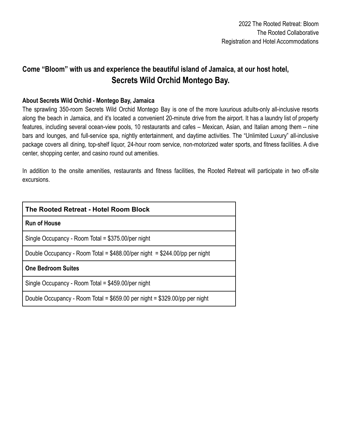## **Come "Bloom" with us and experience the beautiful island of Jamaica, at our host hotel, Secrets Wild Orchid Montego Bay.**

## **About Secrets Wild Orchid - Montego Bay, Jamaica**

The sprawling 350-room Secrets Wild Orchid Montego Bay is one of the more luxurious adults-only all-inclusive resorts along the beach in Jamaica, and it's located a convenient 20-minute drive from the airport. It has a laundry list of property features, including several ocean-view pools, 10 restaurants and cafes – Mexican, Asian, and Italian among them -- nine bars and lounges, and full-service spa, nightly entertainment, and daytime activities. The "Unlimited Luxury" all-inclusive package covers all dining, top-shelf liquor, 24-hour room service, non-motorized water sports, and fitness facilities. A dive center, shopping center, and casino round out amenities.

In addition to the onsite amenities, restaurants and fitness facilities, the Rooted Retreat will participate in two off-site excursions.

| The Rooted Retreat - Hotel Room Block                                        |  |  |  |  |
|------------------------------------------------------------------------------|--|--|--|--|
| <b>Run of House</b>                                                          |  |  |  |  |
| Single Occupancy - Room Total = \$375.00/per night                           |  |  |  |  |
| Double Occupancy - Room Total = $$488.00/per$ night = $$244.00/pp$ per night |  |  |  |  |
| <b>One Bedroom Suites</b>                                                    |  |  |  |  |
| Single Occupancy - Room Total = \$459.00/per night                           |  |  |  |  |
| Double Occupancy - Room Total = \$659.00 per night = \$329.00/pp per night   |  |  |  |  |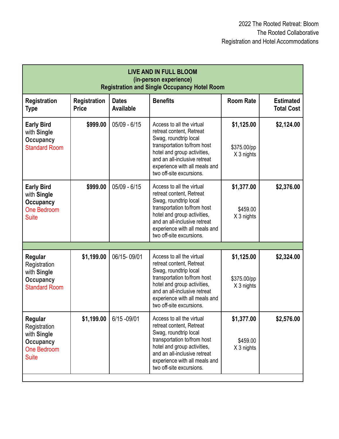| <b>LIVE AND IN FULL BLOOM</b><br>(in-person experience)<br><b>Registration and Single Occupancy Hotel Room</b> |                              |                           |                                                                                                                                                                                                                                           |                                         |                                       |
|----------------------------------------------------------------------------------------------------------------|------------------------------|---------------------------|-------------------------------------------------------------------------------------------------------------------------------------------------------------------------------------------------------------------------------------------|-----------------------------------------|---------------------------------------|
| <b>Registration</b><br><b>Type</b>                                                                             | Registration<br><b>Price</b> | <b>Dates</b><br>Available | <b>Benefits</b>                                                                                                                                                                                                                           | <b>Room Rate</b>                        | <b>Estimated</b><br><b>Total Cost</b> |
| <b>Early Bird</b><br>with Single<br><b>Occupancy</b><br><b>Standard Room</b>                                   | \$999.00                     | $05/09 - 6/15$            | Access to all the virtual<br>retreat content, Retreat<br>Swag, roundtrip local<br>transportation to/from host<br>hotel and group activities,<br>and an all-inclusive retreat<br>experience with all meals and<br>two off-site excursions. | \$1,125.00<br>\$375.00/pp<br>X 3 nights | \$2,124.00                            |
| <b>Early Bird</b><br>with Single<br><b>Occupancy</b><br>One Bedroom<br><b>Suite</b>                            | \$999.00                     | $05/09 - 6/15$            | Access to all the virtual<br>retreat content, Retreat<br>Swag, roundtrip local<br>transportation to/from host<br>hotel and group activities,<br>and an all-inclusive retreat<br>experience with all meals and<br>two off-site excursions. | \$1,377.00<br>\$459.00<br>X 3 nights    | \$2,376.00                            |
|                                                                                                                |                              |                           |                                                                                                                                                                                                                                           |                                         |                                       |
| Regular<br>Registration<br>with Single<br><b>Occupancy</b><br><b>Standard Room</b>                             | \$1,199.00                   | 06/15-09/01               | Access to all the virtual<br>retreat content, Retreat<br>Swag, roundtrip local<br>transportation to/from host<br>hotel and group activities,<br>and an all-inclusive retreat<br>experience with all meals and<br>two off-site excursions. | \$1,125.00<br>\$375.00/pp<br>X 3 nights | \$2,324.00                            |
| Regular<br>Registration<br>with Single<br><b>Occupancy</b><br><b>One Bedroom</b><br><b>Suite</b>               | \$1,199.00                   | 6/15 - 09/01              | Access to all the virtual<br>retreat content, Retreat<br>Swag, roundtrip local<br>transportation to/from host<br>hotel and group activities,<br>and an all-inclusive retreat<br>experience with all meals and<br>two off-site excursions. | \$1,377.00<br>\$459.00<br>X 3 nights    | \$2,576.00                            |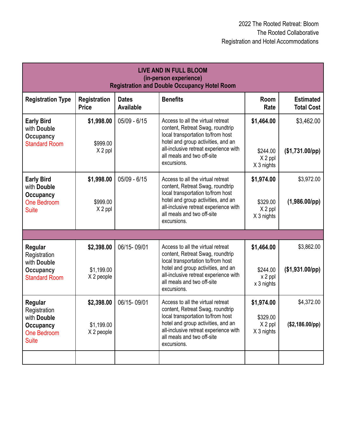| <b>LIVE AND IN FULL BLOOM</b><br>(in-person experience)<br><b>Registration and Double Occupancy Hotel Room</b> |                                        |                           |                                                                                                                                                                                                                                        |                                                 |                                       |
|----------------------------------------------------------------------------------------------------------------|----------------------------------------|---------------------------|----------------------------------------------------------------------------------------------------------------------------------------------------------------------------------------------------------------------------------------|-------------------------------------------------|---------------------------------------|
| <b>Registration Type</b>                                                                                       | <b>Registration</b><br><b>Price</b>    | <b>Dates</b><br>Available | <b>Benefits</b>                                                                                                                                                                                                                        | Room<br>Rate                                    | <b>Estimated</b><br><b>Total Cost</b> |
| <b>Early Bird</b><br>with Double<br><b>Occupancy</b><br><b>Standard Room</b>                                   | \$1,998.00<br>\$999.00<br>X 2 ppl      | $05/09 - 6/15$            | Access to all the virtual retreat<br>content, Retreat Swag, roundtrip<br>local transportation to/from host<br>hotel and group activities, and an<br>all-inclusive retreat experience with<br>all meals and two off-site<br>excursions. | \$1,464.00<br>\$244.00<br>X 2 ppl<br>X 3 nights | \$3,462.00<br>$($1,731.00$ /pp)       |
| <b>Early Bird</b><br>with Double<br><b>Occupancy</b><br>One Bedroom<br><b>Suite</b>                            | \$1,998.00<br>\$999.00<br>X 2 ppl      | $05/09 - 6/15$            | Access to all the virtual retreat<br>content, Retreat Swag, roundtrip<br>local transportation to/from host<br>hotel and group activities, and an<br>all-inclusive retreat experience with<br>all meals and two off-site<br>excursions. | \$1,974.00<br>\$329.00<br>X 2 ppl<br>X 3 nights | \$3,972.00<br>$(1,986.00$ /pp)        |
|                                                                                                                |                                        |                           |                                                                                                                                                                                                                                        |                                                 |                                       |
| Regular<br>Registration<br>with Double<br><b>Occupancy</b><br><b>Standard Room</b>                             | \$2,398.00<br>\$1,199.00<br>X 2 people | 06/15-09/01               | Access to all the virtual retreat<br>content, Retreat Swag, roundtrip<br>local transportation to/from host<br>hotel and group activities, and an<br>all-inclusive retreat experience with<br>all meals and two off-site<br>excursions. | \$1,464.00<br>\$244.00<br>x 2 ppl<br>x 3 nights | \$3,862.00<br>$($1,931.00$ /pp)       |
| Regular<br>Registration<br>with Double<br><b>Occupancy</b><br>One Bedroom<br><b>Suite</b>                      | \$2,398.00<br>\$1,199.00<br>X 2 people | 06/15-09/01               | Access to all the virtual retreat<br>content, Retreat Swag, roundtrip<br>local transportation to/from host<br>hotel and group activities, and an<br>all-inclusive retreat experience with<br>all meals and two off-site<br>excursions. | \$1,974.00<br>\$329.00<br>X 2 ppl<br>X 3 nights | \$4,372.00<br>$($2,186.00$ /pp)       |
|                                                                                                                |                                        |                           |                                                                                                                                                                                                                                        |                                                 |                                       |